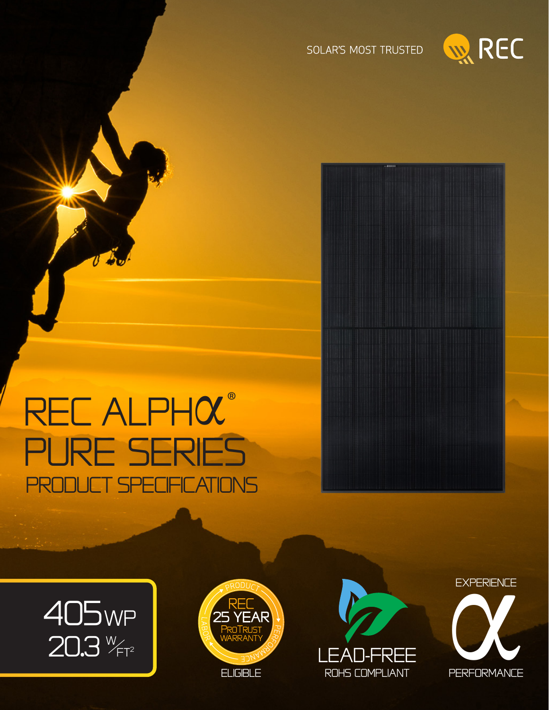

SOLAR'S MOST TRUSTED

# REC ALPHOC® PURE SERIES **PRODUCT SPECIFICATIONS**







**EXPERIENCE PERFORMANCE**